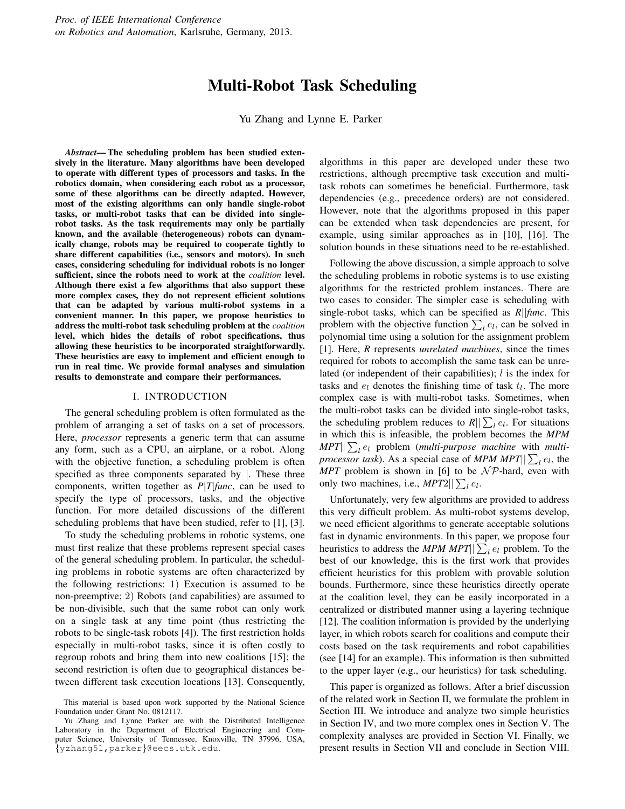# Multi-Robot Task Scheduling

Yu Zhang and Lynne E. Parker

*Abstract*— The scheduling problem has been studied extensively in the literature. Many algorithms have been developed to operate with different types of processors and tasks. In the robotics domain, when considering each robot as a processor, some of these algorithms can be directly adapted. However, most of the existing algorithms can only handle single-robot tasks, or multi-robot tasks that can be divided into singlerobot tasks. As the task requirements may only be partially known, and the available (heterogeneous) robots can dynamically change, robots may be required to cooperate tightly to share different capabilities (i.e., sensors and motors). In such cases, considering scheduling for individual robots is no longer sufficient, since the robots need to work at the *coalition* level. Although there exist a few algorithms that also support these more complex cases, they do not represent efficient solutions that can be adapted by various multi-robot systems in a convenient manner. In this paper, we propose heuristics to address the multi-robot task scheduling problem at the *coalition* level, which hides the details of robot specifications, thus allowing these heuristics to be incorporated straightforwardly. These heuristics are easy to implement and efficient enough to run in real time. We provide formal analyses and simulation results to demonstrate and compare their performances.

### I. INTRODUCTION

The general scheduling problem is often formulated as the problem of arranging a set of tasks on a set of processors. Here, *processor* represents a generic term that can assume any form, such as a CPU, an airplane, or a robot. Along with the objective function, a scheduling problem is often specified as three components separated by . These three components, written together as *P*|*T*|*func*, can be used to specify the type of processors, tasks, and the objective function. For more detailed discussions of the different scheduling problems that have been studied, refer to [1], [3].

To study the scheduling problems in robotic systems, one must first realize that these problems represent special cases of the general scheduling problem. In particular, the scheduling problems in robotic systems are often characterized by the following restrictions: 1) Execution is assumed to be non-preemptive; 2) Robots (and capabilities) are assumed to be non-divisible, such that the same robot can only work on a single task at any time point (thus restricting the robots to be single-task robots [4]). The first restriction holds especially in multi-robot tasks, since it is often costly to regroup robots and bring them into new coalitions [15]; the second restriction is often due to geographical distances between different task execution locations [13]. Consequently, algorithms in this paper are developed under these two restrictions, although preemptive task execution and multitask robots can sometimes be beneficial. Furthermore, task dependencies (e.g., precedence orders) are not considered. However, note that the algorithms proposed in this paper can be extended when task dependencies are present, for example, using similar approaches as in [10], [16]. The solution bounds in these situations need to be re-established.

Following the above discussion, a simple approach to solve the scheduling problems in robotic systems is to use existing algorithms for the restricted problem instances. There are two cases to consider. The simpler case is scheduling with single-robot tasks, which can be specified as *R*||*func*. This problem with the objective function  $\sum_l e_l$ , can be solved in polynomial time using a solution for the assignment problem [1]. Here, *R* represents *unrelated machines*, since the times required for robots to accomplish the same task can be unrelated (or independent of their capabilities);  $l$  is the index for tasks and  $e_l$  denotes the finishing time of task  $t_l$ . The more complex case is with multi-robot tasks. Sometimes, when the multi-robot tasks can be divided into single-robot tasks, the scheduling problem reduces to  $R||\sum_{l} e_l$ . For situations in which this is infeasible, the problem becomes the *MPM*  $\text{MPT} \|\sum_{l} e_l \text{ problem } (\textit{multi-purpose machine with multi-}$ *processor task*). As a special case of *MPM MPT* $||\sum_{l} e_l$ , the *MPT* problem is shown in [6] to be  $\mathcal{NP}$ -hard, even with only two machines, i.e.,  $MPT2||\sum_{l} e_{l}$ .

Unfortunately, very few algorithms are provided to address this very difficult problem. As multi-robot systems develop, we need efficient algorithms to generate acceptable solutions fast in dynamic environments. In this paper, we propose four heuristics to address the *MPM MPT* $||\sum_{l} e_l$  problem. To the best of our knowledge, this is the first work that provides efficient heuristics for this problem with provable solution bounds. Furthermore, since these heuristics directly operate at the coalition level, they can be easily incorporated in a centralized or distributed manner using a layering technique [12]. The coalition information is provided by the underlying layer, in which robots search for coalitions and compute their costs based on the task requirements and robot capabilities (see [14] for an example). This information is then submitted to the upper layer (e.g., our heuristics) for task scheduling.

This paper is organized as follows. After a brief discussion of the related work in Section II, we formulate the problem in Section III. We introduce and analyze two simple heuristics in Section IV, and two more complex ones in Section V. The complexity analyses are provided in Section VI. Finally, we present results in Section VII and conclude in Section VIII.

This material is based upon work supported by the National Science Foundation under Grant No. 0812117.

Yu Zhang and Lynne Parker are with the Distributed Intelligence Laboratory in the Department of Electrical Engineering and Computer Science, University of Tennessee, Knoxville, TN 37996, USA, {yzhang51,parker}@eecs.utk.edu.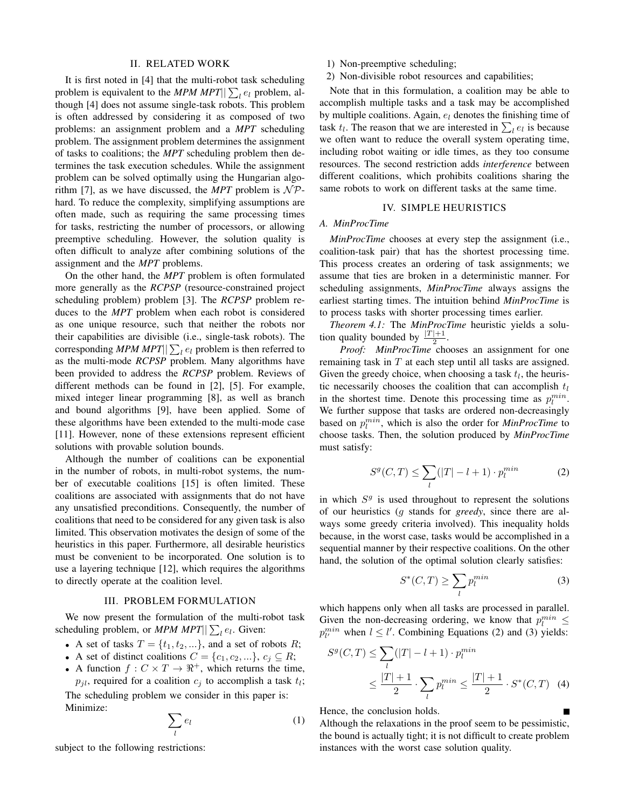#### II. RELATED WORK

It is first noted in [4] that the multi-robot task scheduling problem is equivalent to the *MPM MPT* $||\sum_{l} e_l$  problem, although [4] does not assume single-task robots. This problem is often addressed by considering it as composed of two problems: an assignment problem and a *MPT* scheduling problem. The assignment problem determines the assignment of tasks to coalitions; the *MPT* scheduling problem then determines the task execution schedules. While the assignment problem can be solved optimally using the Hungarian algorithm [7], as we have discussed, the *MPT* problem is  $N\mathcal{P}$ hard. To reduce the complexity, simplifying assumptions are often made, such as requiring the same processing times for tasks, restricting the number of processors, or allowing preemptive scheduling. However, the solution quality is often difficult to analyze after combining solutions of the assignment and the *MPT* problems.

On the other hand, the *MPT* problem is often formulated more generally as the *RCPSP* (resource-constrained project scheduling problem) problem [3]. The *RCPSP* problem reduces to the *MPT* problem when each robot is considered as one unique resource, such that neither the robots nor their capabilities are divisible (i.e., single-task robots). The corresponding *MPM MPT* $||\sum_{l} e_l$  problem is then referred to as the multi-mode *RCPSP* problem. Many algorithms have been provided to address the *RCPSP* problem. Reviews of different methods can be found in [2], [5]. For example, mixed integer linear programming [8], as well as branch and bound algorithms [9], have been applied. Some of these algorithms have been extended to the multi-mode case [11]. However, none of these extensions represent efficient solutions with provable solution bounds.

Although the number of coalitions can be exponential in the number of robots, in multi-robot systems, the number of executable coalitions [15] is often limited. These coalitions are associated with assignments that do not have any unsatisfied preconditions. Consequently, the number of coalitions that need to be considered for any given task is also limited. This observation motivates the design of some of the heuristics in this paper. Furthermore, all desirable heuristics must be convenient to be incorporated. One solution is to use a layering technique [12], which requires the algorithms to directly operate at the coalition level.

#### III. PROBLEM FORMULATION

We now present the formulation of the multi-robot task scheduling problem, or *MPM MPT* $||\sum_{l} e_l$ . Given:

- A set of tasks  $T = \{t_1, t_2, ...\}$ , and a set of robots R;
- A set of distinct coalitions  $C = \{c_1, c_2, ...\}$ ,  $c_j \subseteq R$ ;
- A function  $f: C \times T \to \mathbb{R}^+$ , which returns the time,

 $p_{jl}$ , required for a coalition  $c_j$  to accomplish a task  $t_l$ ; The scheduling problem we consider in this paper is: Minimize:

$$
\sum_{l} e_l \tag{1}
$$

subject to the following restrictions:

- 1) Non-preemptive scheduling;
- 2) Non-divisible robot resources and capabilities;

Note that in this formulation, a coalition may be able to accomplish multiple tasks and a task may be accomplished by multiple coalitions. Again,  $e_l$  denotes the finishing time of task  $t_l$ . The reason that we are interested in  $\sum_l e_l$  is because we often want to reduce the overall system operating time, including robot waiting or idle times, as they too consume resources. The second restriction adds *interference* between different coalitions, which prohibits coalitions sharing the same robots to work on different tasks at the same time.

## IV. SIMPLE HEURISTICS

## *A. MinProcTime*

*MinProcTime* chooses at every step the assignment (i.e., coalition-task pair) that has the shortest processing time. This process creates an ordering of task assignments; we assume that ties are broken in a deterministic manner. For scheduling assignments, *MinProcTime* always assigns the earliest starting times. The intuition behind *MinProcTime* is to process tasks with shorter processing times earlier.

*Theorem 4.1:* The *MinProcTime* heuristic yields a solution quality bounded by  $\frac{|T|+1}{2}$ .

*Proof:* MinProcTime chooses an assignment for one remaining task in  $T$  at each step until all tasks are assigned. Given the greedy choice, when choosing a task  $t_l$ , the heuristic necessarily chooses the coalition that can accomplish  $t_l$ in the shortest time. Denote this processing time as  $p_l^{min}$ . We further suppose that tasks are ordered non-decreasingly based on  $p_l^{min}$ , which is also the order for  $MinProcTime$  to choose tasks. Then, the solution produced by *MinProcTime* must satisfy:

$$
S^{g}(C,T) \le \sum_{l} (|T| - l + 1) \cdot p_l^{min} \tag{2}
$$

in which  $S<sup>g</sup>$  is used throughout to represent the solutions of our heuristics (g stands for *greedy*, since there are always some greedy criteria involved). This inequality holds because, in the worst case, tasks would be accomplished in a sequential manner by their respective coalitions. On the other hand, the solution of the optimal solution clearly satisfies:

$$
S^*(C,T) \ge \sum_l p_l^{min} \tag{3}
$$

which happens only when all tasks are processed in parallel. Given the non-decreasing ordering, we know that  $p_l^{min} \leq$  $p_{l'}^{min}$  when  $l \leq l'$ . Combining Equations (2) and (3) yields:

$$
S^{g}(C,T) \leq \sum_{l} (|T| - l + 1) \cdot p_{l}^{min}
$$
  

$$
\leq \frac{|T| + 1}{2} \cdot \sum_{l} p_{l}^{min} \leq \frac{|T| + 1}{2} \cdot S^{*}(C,T) \quad (4)
$$

Hence, the conclusion holds.

Although the relaxations in the proof seem to be pessimistic, the bound is actually tight; it is not difficult to create problem instances with the worst case solution quality.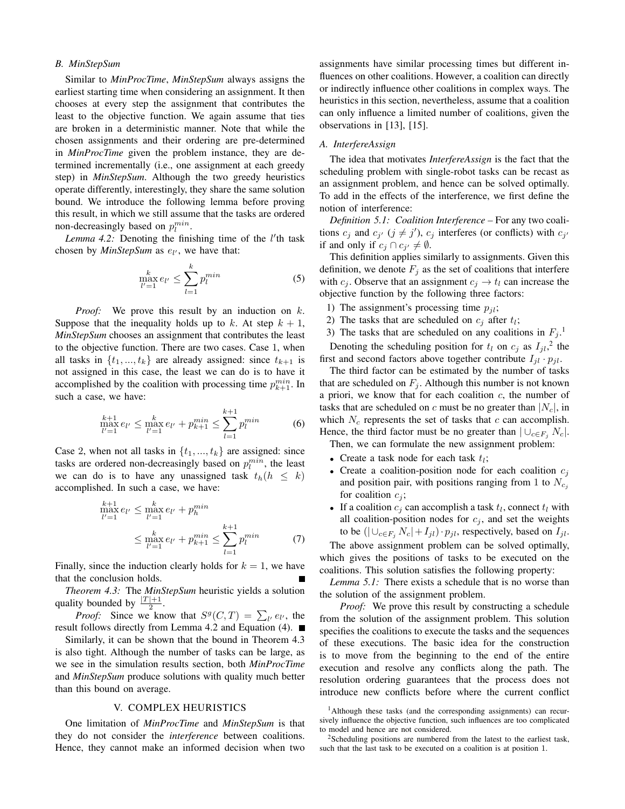#### *B. MinStepSum*

Similar to *MinProcTime*, *MinStepSum* always assigns the earliest starting time when considering an assignment. It then chooses at every step the assignment that contributes the least to the objective function. We again assume that ties are broken in a deterministic manner. Note that while the chosen assignments and their ordering are pre-determined in *MinProcTime* given the problem instance, they are determined incrementally (i.e., one assignment at each greedy step) in *MinStepSum*. Although the two greedy heuristics operate differently, interestingly, they share the same solution bound. We introduce the following lemma before proving this result, in which we still assume that the tasks are ordered non-decreasingly based on  $p_l^{min}$ .

Lemma 4.2: Denoting the finishing time of the l'th task chosen by  $MinStepSum$  as  $e_{l'}$ , we have that:

$$
\max_{l'=1}^k e_{l'} \le \sum_{l=1}^k p_l^{min} \tag{5}
$$

*Proof:* We prove this result by an induction on k. Suppose that the inequality holds up to k. At step  $k + 1$ , *MinStepSum* chooses an assignment that contributes the least to the objective function. There are two cases. Case 1, when all tasks in  $\{t_1, ..., t_k\}$  are already assigned: since  $t_{k+1}$  is not assigned in this case, the least we can do is to have it accomplished by the coalition with processing time  $p_{k+1}^{min}$ . In such a case, we have:

$$
\max_{l'=1}^{k+1} e_{l'} \le \max_{l'=1}^k e_{l'} + p_{k+1}^{min} \le \sum_{l=1}^{k+1} p_l^{min}
$$
 (6)

Case 2, when not all tasks in  $\{t_1, ..., t_k\}$  are assigned: since tasks are ordered non-decreasingly based on  $p_l^{min}$ , the least we can do is to have any unassigned task  $t_h(h \leq k)$ accomplished. In such a case, we have:

$$
\max_{l'=1}^{k+1} e_{l'} \le \max_{l'=1}^k e_{l'} + p_h^{min}
$$
\n
$$
\le \max_{l'=1}^k e_{l'} + p_{k+1}^{min} \le \sum_{l=1}^{k+1} p_l^{min} \tag{7}
$$

Finally, since the induction clearly holds for  $k = 1$ , we have that the conclusion holds.

*Theorem 4.3:* The *MinStepSum* heuristic yields a solution quality bounded by  $\frac{|T|+1}{2}$ .

*Proof:* Since we know that  $S^g(C,T) = \sum_{l'} e_{l'}$ , the result follows directly from Lemma 4.2 and Equation (4).

Similarly, it can be shown that the bound in Theorem 4.3 is also tight. Although the number of tasks can be large, as we see in the simulation results section, both *MinProcTime* and *MinStepSum* produce solutions with quality much better than this bound on average.

# V. COMPLEX HEURISTICS

One limitation of *MinProcTime* and *MinStepSum* is that they do not consider the *interference* between coalitions. Hence, they cannot make an informed decision when two assignments have similar processing times but different influences on other coalitions. However, a coalition can directly or indirectly influence other coalitions in complex ways. The heuristics in this section, nevertheless, assume that a coalition can only influence a limited number of coalitions, given the observations in [13], [15].

#### *A. InterfereAssign*

The idea that motivates *InterfereAssign* is the fact that the scheduling problem with single-robot tasks can be recast as an assignment problem, and hence can be solved optimally. To add in the effects of the interference, we first define the notion of interference:

*Definition 5.1: Coalition Interference –* For any two coalitions  $c_j$  and  $c_{j'}$   $(j \neq j')$ ,  $c_j$  interferes (or conflicts) with  $c_{j'}$ if and only if  $c_j \cap c_{j'} \neq \emptyset$ .

This definition applies similarly to assignments. Given this definition, we denote  $F_j$  as the set of coalitions that interfere with  $c_i$ . Observe that an assignment  $c_i \rightarrow t_i$  can increase the objective function by the following three factors:

- 1) The assignment's processing time  $p_{il}$ ;
- 2) The tasks that are scheduled on  $c_j$  after  $t_l$ ;
- 3) The tasks that are scheduled on any coalitions in  $F_j$ .

Denoting the scheduling position for  $t_l$  on  $c_j$  as  $I_{jl}$ ,<sup>2</sup> the first and second factors above together contribute  $I_{jl} \cdot p_{jl}$ .

The third factor can be estimated by the number of tasks that are scheduled on  $F_j$ . Although this number is not known a priori, we know that for each coalition  $c$ , the number of tasks that are scheduled on c must be no greater than  $|N_c|$ , in which  $N_c$  represents the set of tasks that c can accomplish. Hence, the third factor must be no greater than  $|\cup_{c \in F_i} N_c|$ .

Then, we can formulate the new assignment problem:

- Create a task node for each task  $t_l$ ;
- Create a coalition-position node for each coalition  $c_i$ and position pair, with positions ranging from 1 to  $N_{c_j}$ for coalition  $c_i$ ;
- If a coalition  $c_j$  can accomplish a task  $t_l$ , connect  $t_l$  with all coalition-position nodes for  $c_j$ , and set the weights to be  $(|\bigcup_{c \in F_j} N_c| + I_{jl}) \cdot p_{jl}$ , respectively, based on  $I_{jl}$ .

The above assignment problem can be solved optimally, which gives the positions of tasks to be executed on the coalitions. This solution satisfies the following property:

*Lemma 5.1:* There exists a schedule that is no worse than the solution of the assignment problem.

*Proof:* We prove this result by constructing a schedule from the solution of the assignment problem. This solution specifies the coalitions to execute the tasks and the sequences of these executions. The basic idea for the construction is to move from the beginning to the end of the entire execution and resolve any conflicts along the path. The resolution ordering guarantees that the process does not introduce new conflicts before where the current conflict

<sup>1</sup>Although these tasks (and the corresponding assignments) can recursively influence the objective function, such influences are too complicated to model and hence are not considered.

<sup>2</sup>Scheduling positions are numbered from the latest to the earliest task, such that the last task to be executed on a coalition is at position 1.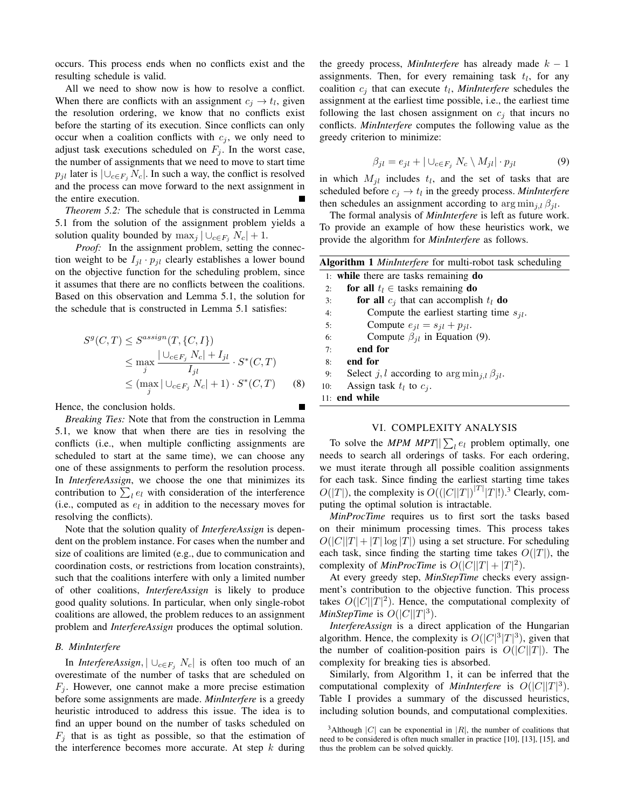occurs. This process ends when no conflicts exist and the resulting schedule is valid.

All we need to show now is how to resolve a conflict. When there are conflicts with an assignment  $c_j \rightarrow t_l$ , given the resolution ordering, we know that no conflicts exist before the starting of its execution. Since conflicts can only occur when a coalition conflicts with  $c_j$ , we only need to adjust task executions scheduled on  $F_j$ . In the worst case, the number of assignments that we need to move to start time  $p_{jl}$  later is  $\bigcup_{c \in F_i} N_c$ . In such a way, the conflict is resolved and the process can move forward to the next assignment in the entire execution.

*Theorem 5.2:* The schedule that is constructed in Lemma 5.1 from the solution of the assignment problem yields a solution quality bounded by  $\max_j |\bigcup_{c \in F_j} N_c| + 1$ .

*Proof:* In the assignment problem, setting the connection weight to be  $I_{jl} \cdot p_{jl}$  clearly establishes a lower bound on the objective function for the scheduling problem, since it assumes that there are no conflicts between the coalitions. Based on this observation and Lemma 5.1, the solution for the schedule that is constructed in Lemma 5.1 satisfies:

$$
S^{g}(C,T) \leq S^{assign}(T, \{C, I\})
$$
  
\n
$$
\leq \max_{j} \frac{|\bigcup_{c \in F_{j}} N_{c}| + I_{jl}}{I_{jl}} \cdot S^{*}(C, T)
$$
  
\n
$$
\leq (\max_{j} |\bigcup_{c \in F_{j}} N_{c}| + 1) \cdot S^{*}(C, T)
$$
 (8)

Hence, the conclusion holds.

*Breaking Ties:* Note that from the construction in Lemma 5.1, we know that when there are ties in resolving the conflicts (i.e., when multiple conflicting assignments are scheduled to start at the same time), we can choose any one of these assignments to perform the resolution process. In *InterfereAssign*, we choose the one that minimizes its contribution to  $\sum_{l} e_l$  with consideration of the interference (i.e., computed as  $e_l$  in addition to the necessary moves for resolving the conflicts).

Note that the solution quality of *InterfereAssign* is dependent on the problem instance. For cases when the number and size of coalitions are limited (e.g., due to communication and coordination costs, or restrictions from location constraints), such that the coalitions interfere with only a limited number of other coalitions, *InterfereAssign* is likely to produce good quality solutions. In particular, when only single-robot coalitions are allowed, the problem reduces to an assignment problem and *InterfereAssign* produces the optimal solution.

## *B. MinInterfere*

In *InterfereAssign*,  $\vert \cup_{c \in F_j} N_c \vert$  is often too much of an overestimate of the number of tasks that are scheduled on  $F_j$ . However, one cannot make a more precise estimation before some assignments are made. *MinInterfere* is a greedy heuristic introduced to address this issue. The idea is to find an upper bound on the number of tasks scheduled on  $F_j$  that is as tight as possible, so that the estimation of the interference becomes more accurate. At step  $k$  during the greedy process, *MinInterfere* has already made  $k - 1$ assignments. Then, for every remaining task  $t_l$ , for any coalition  $c_j$  that can execute  $t_l$ , *MinInterfere* schedules the assignment at the earliest time possible, i.e., the earliest time following the last chosen assignment on  $c_i$  that incurs no conflicts. *MinInterfere* computes the following value as the greedy criterion to minimize:

$$
\beta_{jl} = e_{jl} + |\cup_{c \in F_j} N_c \setminus M_{jl}| \cdot p_{jl} \tag{9}
$$

in which  $M_{jl}$  includes  $t_l$ , and the set of tasks that are scheduled before  $c_j \rightarrow t_l$  in the greedy process. *MinInterfere* then schedules an assignment according to  $\arg \min_{i,l} \beta_{il}$ .

The formal analysis of *MinInterfere* is left as future work. To provide an example of how these heuristics work, we provide the algorithm for *MinInterfere* as follows.

| <b>Algorithm 1</b> MinInterfere for multi-robot task scheduling |                                                         |  |  |
|-----------------------------------------------------------------|---------------------------------------------------------|--|--|
| 1: while there are tasks remaining do                           |                                                         |  |  |
| 2:                                                              | <b>for all</b> $t_l \in$ tasks remaining <b>do</b>      |  |  |
| 3:                                                              | for all $c_i$ that can accomplish $t_i$ do              |  |  |
| 4:                                                              | Compute the earliest starting time $s_{il}$ .           |  |  |
| 5:                                                              | Compute $e_{il} = s_{il} + p_{jl}$ .                    |  |  |
| 6:                                                              | Compute $\beta_{il}$ in Equation (9).                   |  |  |
| 7:                                                              | end for                                                 |  |  |
| 8:                                                              | end for                                                 |  |  |
| 9:                                                              | Select j, l according to $\arg \min_{i,l} \beta_{il}$ . |  |  |
| 10:                                                             | Assign task $t_l$ to $c_i$ .                            |  |  |
|                                                                 | $11:$ end while                                         |  |  |

# VI. COMPLEXITY ANALYSIS

To solve the *MPM MPT* $||\sum_{l} e_l$  problem optimally, one needs to search all orderings of tasks. For each ordering, we must iterate through all possible coalition assignments for each task. Since finding the earliest starting time takes  $O(|T|)$ , the complexity is  $O(|C||T|)^{|T|}|T|!$ .<sup>3</sup> Clearly, computing the optimal solution is intractable.

*MinProcTime* requires us to first sort the tasks based on their minimum processing times. This process takes  $O(|C||T| + |T| \log |T|)$  using a set structure. For scheduling each task, since finding the starting time takes  $O(|T|)$ , the complexity of *MinProcTime* is  $O(|C||T| + |T|^2)$ .

At every greedy step, *MinStepTime* checks every assignment's contribution to the objective function. This process takes  $O(|C||T|^2)$ . Hence, the computational complexity of *MinStepTime* is  $O(|C||T|^3)$ .

*InterfereAssign* is a direct application of the Hungarian algorithm. Hence, the complexity is  $O(|C|^3|T|^3)$ , given that the number of coalition-position pairs is  $O(|C||T|)$ . The complexity for breaking ties is absorbed.

Similarly, from Algorithm 1, it can be inferred that the computational complexity of *MinInterfere* is  $O(|C||T|^3)$ . Table I provides a summary of the discussed heuristics, including solution bounds, and computational complexities.

<sup>&</sup>lt;sup>3</sup>Although |C| can be exponential in  $|R|$ , the number of coalitions that need to be considered is often much smaller in practice [10], [13], [15], and thus the problem can be solved quickly.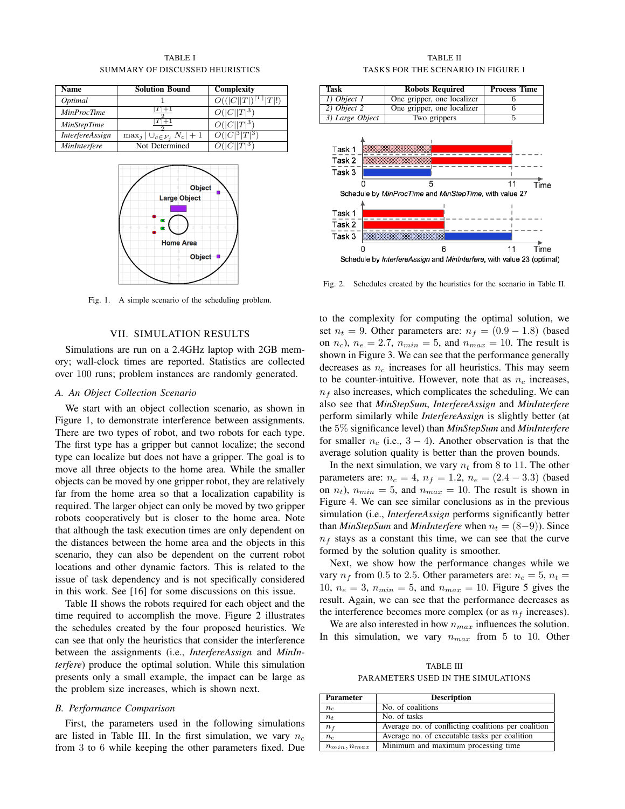# TABLE I SUMMARY OF DISCUSSED HEURISTICS

| <b>Name</b>            | <b>Solution Bound</b>                  | Complexity          |
|------------------------|----------------------------------------|---------------------|
| Optimal                |                                        | $O(( C  T )^{ T })$ |
| <b>MinProcTime</b>     |                                        | $O( C  T ^3)$       |
| <b>MinStepTime</b>     |                                        | $O( C  T ^3)$       |
| <i>InterfereAssign</i> | $\max_j  \bigcup_{c \in F_j} N_c  + 1$ | $O( C ^{3} T ^{3})$ |
| MinInterfere           | Not Determined                         |                     |



Fig. 1. A simple scenario of the scheduling problem.

#### VII. SIMULATION RESULTS

Simulations are run on a 2.4GHz laptop with 2GB memory; wall-clock times are reported. Statistics are collected over 100 runs; problem instances are randomly generated.

#### *A. An Object Collection Scenario*

We start with an object collection scenario, as shown in Figure 1, to demonstrate interference between assignments. There are two types of robot, and two robots for each type. The first type has a gripper but cannot localize; the second type can localize but does not have a gripper. The goal is to move all three objects to the home area. While the smaller objects can be moved by one gripper robot, they are relatively far from the home area so that a localization capability is required. The larger object can only be moved by two gripper robots cooperatively but is closer to the home area. Note that although the task execution times are only dependent on the distances between the home area and the objects in this scenario, they can also be dependent on the current robot locations and other dynamic factors. This is related to the issue of task dependency and is not specifically considered in this work. See [16] for some discussions on this issue.

Table II shows the robots required for each object and the time required to accomplish the move. Figure 2 illustrates the schedules created by the four proposed heuristics. We can see that only the heuristics that consider the interference between the assignments (i.e., *InterfereAssign* and *MinInterfere*) produce the optimal solution. While this simulation presents only a small example, the impact can be large as the problem size increases, which is shown next.

### *B. Performance Comparison*

First, the parameters used in the following simulations are listed in Table III. In the first simulation, we vary  $n_c$ from 3 to 6 while keeping the other parameters fixed. Due

#### TABLE II TASKS FOR THE SCENARIO IN FIGURE 1



Fig. 2. Schedules created by the heuristics for the scenario in Table II.

to the complexity for computing the optimal solution, we set  $n_t = 9$ . Other parameters are:  $n_f = (0.9 - 1.8)$  (based on  $n_c$ ),  $n_e = 2.7$ ,  $n_{min} = 5$ , and  $n_{max} = 10$ . The result is shown in Figure 3. We can see that the performance generally decreases as  $n_c$  increases for all heuristics. This may seem to be counter-intuitive. However, note that as  $n_c$  increases,  $n_f$  also increases, which complicates the scheduling. We can also see that *MinStepSum*, *InterfereAssign* and *MinInterfere* perform similarly while *InterfereAssign* is slightly better (at the 5% significance level) than *MinStepSum* and *MinInterfere* for smaller  $n_c$  (i.e., 3 – 4). Another observation is that the average solution quality is better than the proven bounds.

In the next simulation, we vary  $n_t$  from 8 to 11. The other parameters are:  $n_c = 4$ ,  $n_f = 1.2$ ,  $n_e = (2.4 - 3.3)$  (based on  $n_t$ ),  $n_{min} = 5$ , and  $n_{max} = 10$ . The result is shown in Figure 4. We can see similar conclusions as in the previous simulation (i.e., *InterfereAssign* performs significantly better than *MinStepSum* and *MinInterfere* when  $n_t = (8-9)$ . Since  $n_f$  stays as a constant this time, we can see that the curve formed by the solution quality is smoother.

Next, we show how the performance changes while we vary  $n_f$  from 0.5 to 2.5. Other parameters are:  $n_c = 5$ ,  $n_t =$ 10,  $n_e = 3$ ,  $n_{min} = 5$ , and  $n_{max} = 10$ . Figure 5 gives the result. Again, we can see that the performance decreases as the interference becomes more complex (or as  $n_f$  increases).

We are also interested in how  $n_{max}$  influences the solution. In this simulation, we vary  $n_{max}$  from 5 to 10. Other

TABLE III PARAMETERS USED IN THE SIMULATIONS

| <b>Parameter</b>   | <b>Description</b>                                  |
|--------------------|-----------------------------------------------------|
| $n_c$              | No. of coalitions                                   |
| $n_{t}$            | No. of tasks                                        |
| $n_{f}$            | Average no. of conflicting coalitions per coalition |
| $n_e$              | Average no. of executable tasks per coalition       |
| $n_{min}, n_{max}$ | Minimum and maximum processing time                 |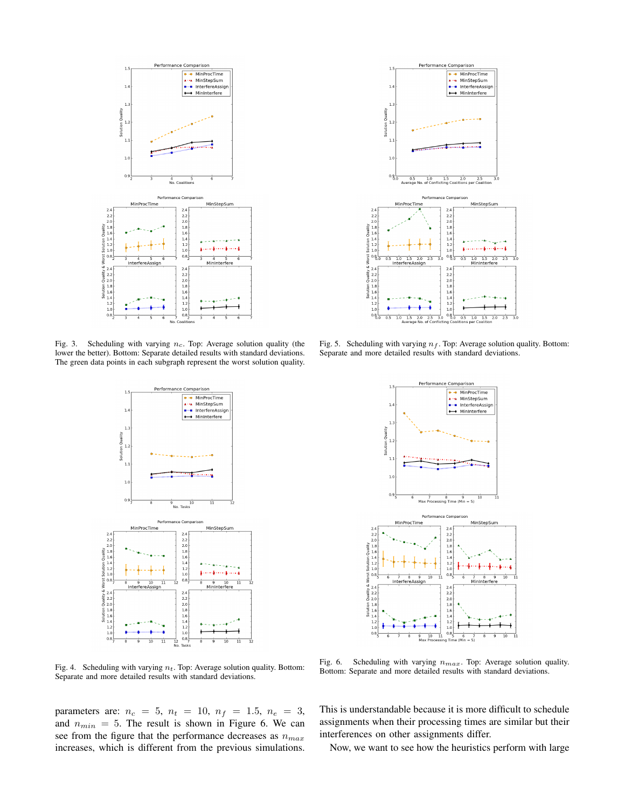

Fig. 3. Scheduling with varying  $n_c$ . Top: Average solution quality (the lower the better). Bottom: Separate detailed results with standard deviations. The green data points in each subgraph represent the worst solution quality.



Fig. 4. Scheduling with varying  $n_t$ . Top: Average solution quality. Bottom: Separate and more detailed results with standard deviations.

parameters are:  $n_c = 5$ ,  $n_t = 10$ ,  $n_f = 1.5$ ,  $n_e = 3$ , and  $n_{min} = 5$ . The result is shown in Figure 6. We can see from the figure that the performance decreases as  $n_{max}$ increases, which is different from the previous simulations.



Fig. 5. Scheduling with varying  $n_f$ . Top: Average solution quality. Bottom: Separate and more detailed results with standard deviations.



Fig. 6. Scheduling with varying  $n_{max}$ . Top: Average solution quality. Bottom: Separate and more detailed results with standard deviations.

This is understandable because it is more difficult to schedule assignments when their processing times are similar but their interferences on other assignments differ.

Now, we want to see how the heuristics perform with large